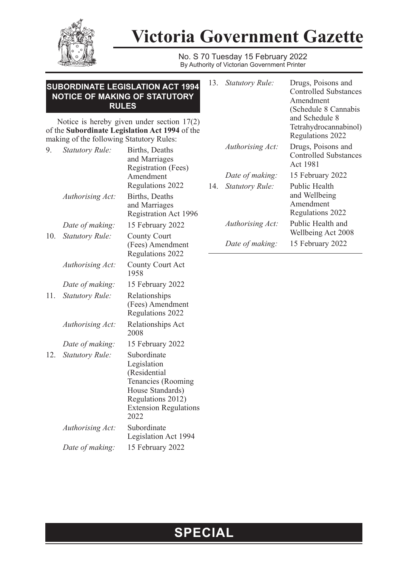

## **Victoria Government Gazette**

No. S 70 Tuesday 15 February 2022 By Authority of Victorian Government Printer

| <b>SUBORDINATE LEGISLATION ACT 1994</b><br>NOTICE OF MAKING OF STATUTORY<br><b>RULES</b>                                                   |                        |                                                                              |     | 13. Statutory Rule:    | Drugs, Poisons and<br><b>Controlled Substances</b><br>Amendment<br>(Schedule 8 Cannabis |
|--------------------------------------------------------------------------------------------------------------------------------------------|------------------------|------------------------------------------------------------------------------|-----|------------------------|-----------------------------------------------------------------------------------------|
| Notice is hereby given under section $17(2)$<br>of the Subordinate Legislation Act 1994 of the<br>making of the following Statutory Rules: |                        |                                                                              |     |                        | and Schedule 8<br>Tetrahydrocannabinol)<br>Regulations 2022                             |
| 9.                                                                                                                                         | Statutory Rule:        | Births, Deaths<br>and Marriages<br>Registration (Fees)                       |     | Authorising Act:       | Drugs, Poisons and<br><b>Controlled Substances</b><br>Act 1981                          |
|                                                                                                                                            |                        | Amendment                                                                    |     | Date of making:        | 15 February 2022                                                                        |
|                                                                                                                                            | Authorising Act:       | Regulations 2022<br>Births, Deaths<br>and Marriages<br>Registration Act 1996 | 14. | <i>Statutory Rule:</i> | Public Health<br>and Wellbeing<br>Amendment<br>Regulations 2022                         |
|                                                                                                                                            | Date of making:        | 15 February 2022                                                             |     | Authorising Act:       | Public Health and                                                                       |
| 10.                                                                                                                                        | Statutory Rule:        | <b>County Court</b><br>(Fees) Amendment<br>Regulations 2022                  |     | Date of making:        | Wellbeing Act 2008<br>15 February 2022                                                  |
|                                                                                                                                            | Authorising Act:       | County Court Act<br>1958                                                     |     |                        |                                                                                         |
|                                                                                                                                            | Date of making:        | 15 February 2022                                                             |     |                        |                                                                                         |
| 11.                                                                                                                                        | <b>Statutory Rule:</b> | Relationships                                                                |     |                        |                                                                                         |

(Fees) Amendment Regulations 2022

Tenancies (Rooming House Standards) Regulations 2012) Extension Regulations

Legislation Act 1994

Legislation (Residential

2022

*Authorising Act:* Relationships Act 2008

*Date of making:* 15 February 2022

12. *Statutory Rule:* Subordinate

*Authorising Act:* Subordinate

*Date of making:* 15 February 2022

## **SPECIAL**